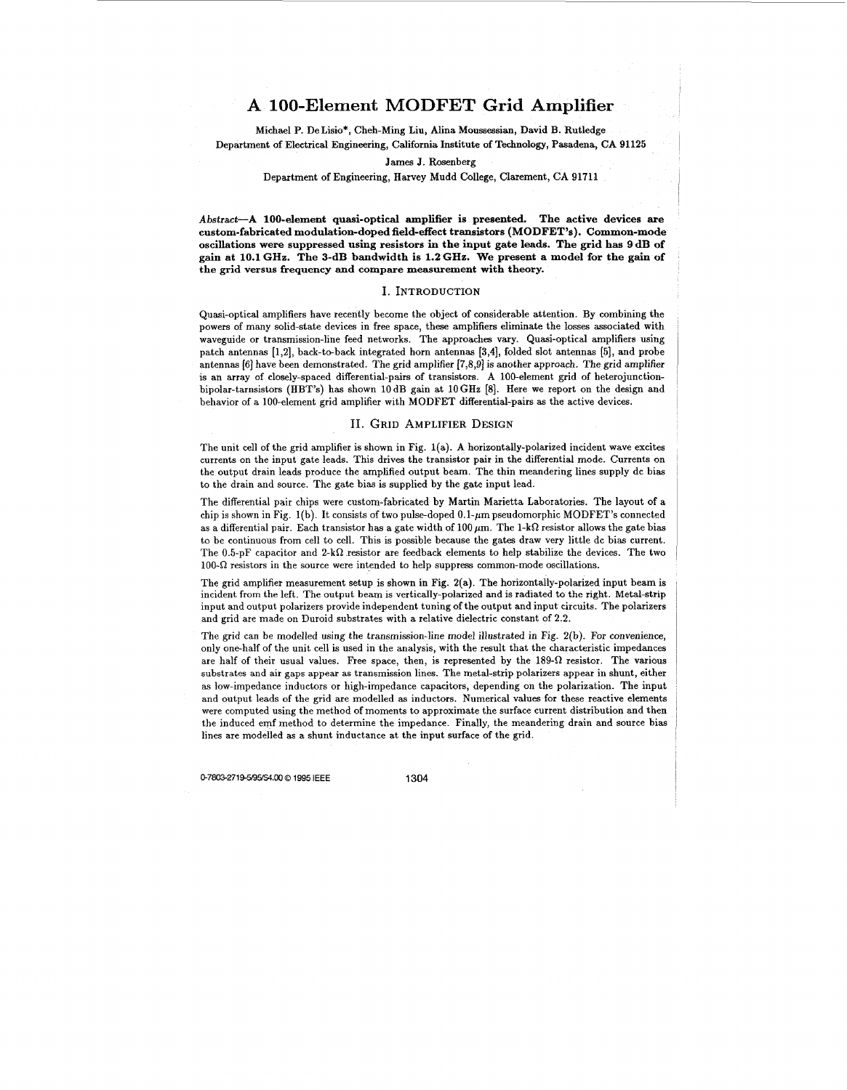# **A 100-Element MODFET Grid Amplifier**

Michael **P.** De Lisio\*, Cheh-Ming Liu, Alina Moussessian, David **B.** Rutledge Department of Electrical Engineering, California Institute of Technology, Pasadena, CA 91125

James J. Rosenberg

Department of Engineering, Harvey Mudd College, Clarement, CA 91711

Abstract-A **100-element quasi-optical amplifier is presented. The active devices are custom-fabricated modulation-doped field-effect transistors (MODFET's). Common-mode oscillations were suppressed using resistors in the input gate leads. The grid has 9 dB of gain at 10.1 GHz. The 3-dB bandwidth is 1.2 GHz. We present a model for the gain of the grid versus frequency and compare measurement with theory.** 

#### I. INTRODUCTION

Quasi-optical amplifiers have recently become the object of considerable attention. By combining the powers of many solid-state devices in free space, these amplifiers eliminate the losses associated with waveguide or transmission-line feed networks. The approaches vary. Quasi-optical amplifiers using patch antennas [1,2], back-to-back integrated horn antennas **[3,4],** folded slot antennas **[5],** and probe antennas **[SI** have been demonstrated. The grid amplifier [7,8,9] is another approach. The grid amplifier is an array of closely-spaced differential-pairs of transistors. **A** 100-element grid of heterojunctionbipolar-tarnsistors (HBT's) has shown lOdB gain at 10GIIz [SI. Kere we report on the design and behavior of a 100-element grid amplifier with MODFET differential-pairs as the active devices.

#### **11.** GRID AMPLIFIER **DESIGN**

The unit cell of the grid amplifier is shown in Fig. l(a). **A** horizontally-polarized incident wave excites currents on the input gate leads. This drives the transistor pair in the differential mode. Currents on the output drain leads produce the amplified output beam. The thin meandering lines supply dc bias to the drain and source. The gate bias is supplied by the gate input lead.

The differential pair chips were custom-fabricated by Martin Marietta Laboratories. The layout of a chip is shown in Fig. 1(b). It consists of two pulse-doped 0.1- $\mu$ m pseudomorphic MODFET's connected as a differential pair. Each transistor has a gate width of 100  $\mu$ m. The 1-k $\Omega$  resistor allows the gate bias to be continuous from cell to cell. This is possible because the gates draw very little dc bias current. The 0.5-pF capacitor and 2-k $\Omega$  resistor are feedback elements to help stabilize the devices. The two  $100-\Omega$  resistors in the source were intended to help suppress common-mode oscillations.

The grid amplifier measurement setup is shown in Fig. 2(a). The horizontally-polarized input beam is incident from the left. The output beam is vertically-polarized and is radiated to the right. Metal-strip input and output polarizers provide independent tuning of the output and input circuits. The polarizers and grid are made on Duroid substrates with a relative dielectric constant of 2.2.

The grid can be modelled using the transmission-line model illustrated in Fig. 2(b). For convenience, only one-half of the unit cell is used in the analysis, with the result that the characteristic impedances are half of their usual values. Free space, then, is represented by the  $189-\Omega$  resistor. The various substrates and **air** gaps appear **as** transmission lines. The metal-strip polarizers appear in shunt, either **as** low-impedance inductors or high-impedance capacitors, depending on the polarization. The input and output leads of the grid are modelled **as** inductors. Numerical values for these reactive elements were computed using the method of moments to approximate the surface current distribution and then the induced emf method to determine the impedance. Finally, the meandering drain and source bias lines are modelled **as** a shunt inductance at the input surface of the grid.

0-7803-2719-5/95/\$4.00 \times 1995 IEEE 1304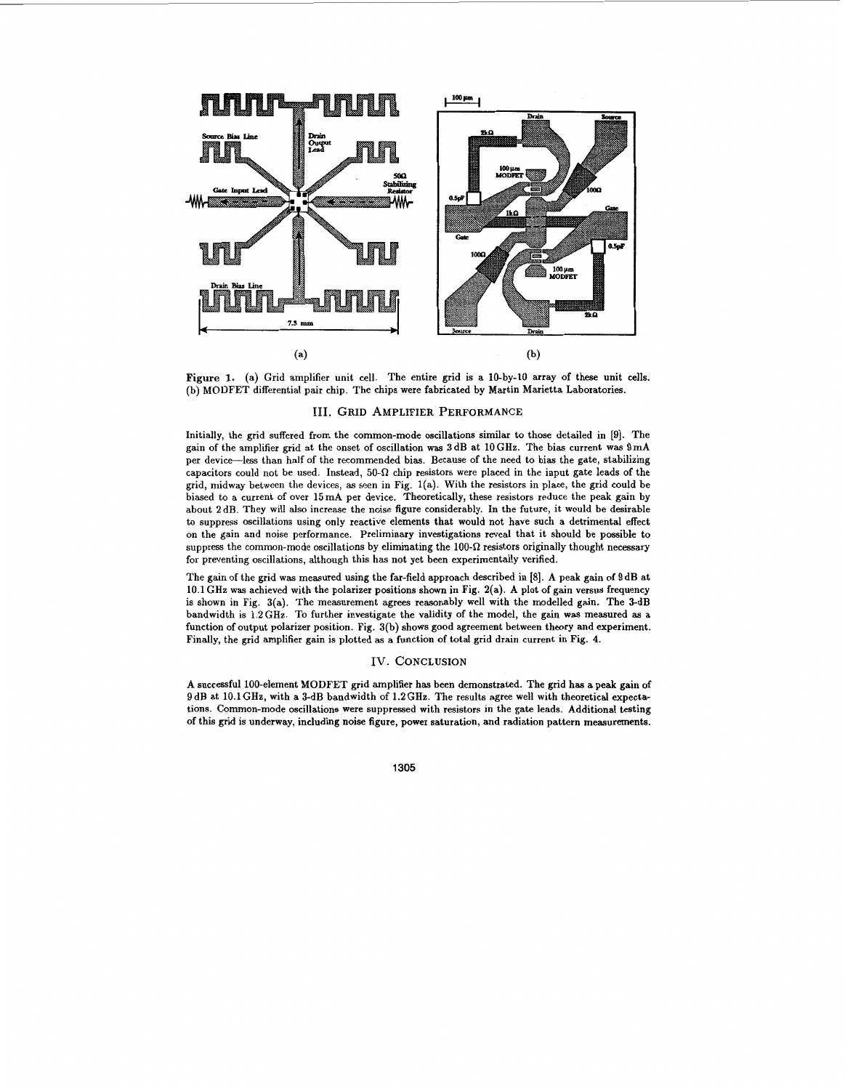

**Figure 1.**  (a) Grid amplifier unit cell. The entire grid is a 10-by-10 array of these unit cells. (b) MODFET differential pair chip. The chips were fabricated by Martin Marietta Laboratories.

## **111. GRID AMPLIFIER PERFORMANCE**

Initially, the grid suffered from the common-mode oscillations similar to those detailed in [9]. The gain of the amplifier grid at the onset of oscillation was 3 dB at 10 GHz. The bias current was 9 mA per device-less than half of the recommended bias. Because of the need to bias the gate, stabilizing capacitors could not be used. Instead,  $50-\Omega$  chip resistors were placed in the input gate leads of the grid, midway between the devices, **as** seen in Fig. l(a). With the resistors in place, the grid could be biased to a current of over 15mA per device. Theoretically, these resistors reduce the peak gain by about 2 dB. They will also increase the noise figure considerably. In the future, it would be desirable to suppress oscillations using only reactive elements that would not have such a detrimental effect on the gain and noise performance. Preliminary investigations reveal that it should be possible to suppress the common-mode oscillations by eliminating the  $100-\Omega$  resistors originally thought necessary for preventing oscillations, although this has not yet been experimentally verified.

The gain of the grid was measured using the far-field approach described in *[8].* A peak gain of 9dB at 10.1 GHz was achieved with the polarizer positions shown in Fig. 2(a). A plot of gain versus frequency is shown in Fig. 3(a). The measurement agrees reasonably well with the modelled gain. The 3-dB bandwidth is 1.2GHz. To further investigate the validity of the model, the gain was measured **as** a function of output polarizer position. Fig. 3(b) shows good agreement between theory and experiment. Finally, the grid amplifier gain is plotted **as** a function of total grid drain current in Fig. **4.** 

## IV. **CONCLUSION**

A successful 100-element MODFET grid amplifier **has** been demonstrated. The grid has a peak gain of 9 dB at 10.1 GHz, with a 3-dB bandwidth of 1.2 GHz. The results agree well with theoretical expectations. Common-mode oscillations were suppressed with resistors in the gate leads. Additional testing of this grid is underway, including noise figure, power saturation, and radiation pattern measurements.

**1305**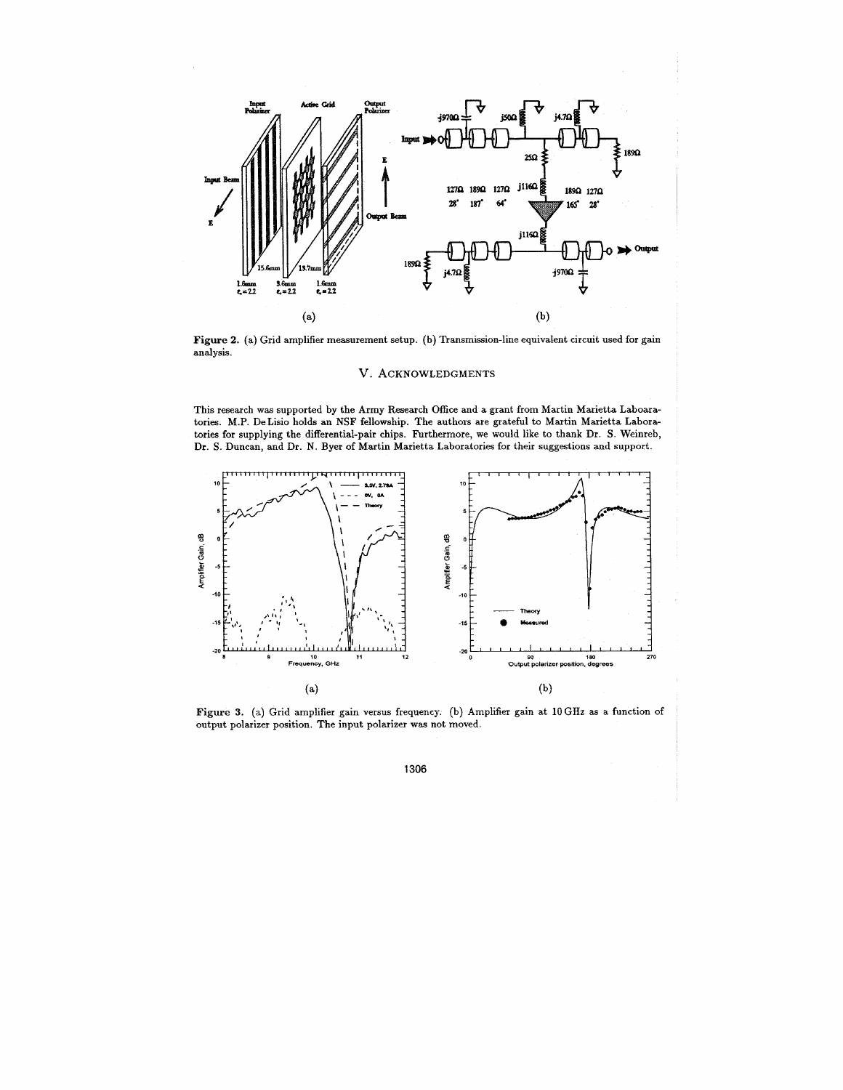

**Figure 2.** (a) Grid amplifier measurement setup, (b) Transmission-line equivalent circuit used for gain analysis.

## V. **ACKNOWLEDGMENTS**

This research **was** supported by the Army Research Office and a grant from Martin Marietta Laboaratories. M.P. DeLisio holds an NSF fellowship. The authors are grateful to Martin Marietta Laboratories for supplying the differential-pair chips. Furthermore, we would like to thank Dr. S. Weinreb, Dr. S. Duncan, and Dr. **N.** Byer of Martin Marietta Laboratories for their suggestions and support.



Figure **3.** (a) Grid amplifier gain versus frequency. (b) Amplifier gain at 10GHz **as** a function of output polarizer position. The input polarizer **was** not moved.

**1306**